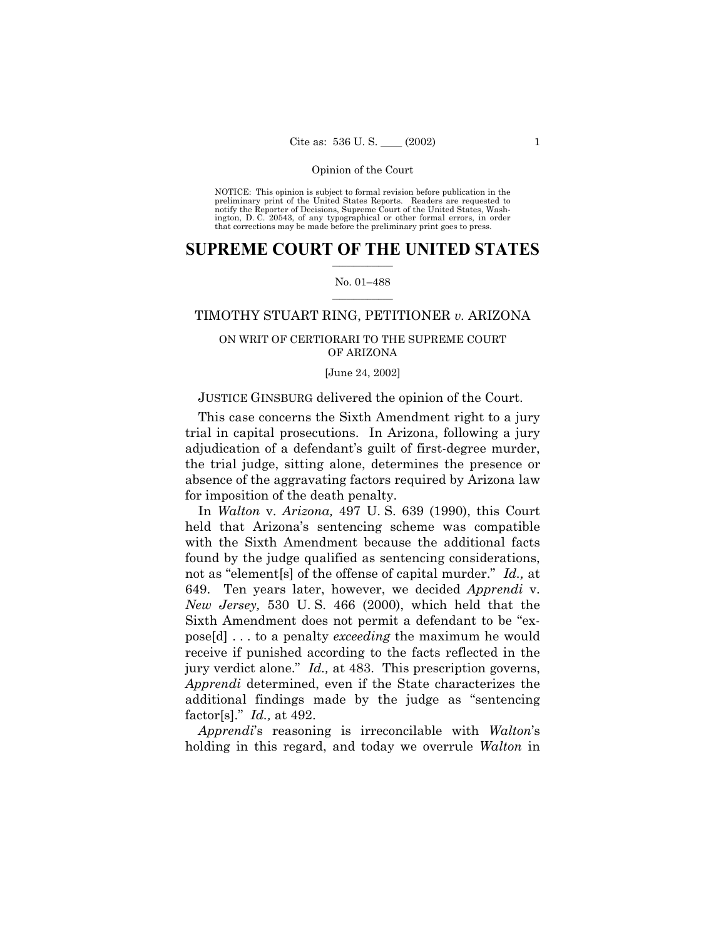NOTICE: This opinion is subject to formal revision before publication in the preliminary print of the United States Reports. Readers are requested to notify the Reporter of Decisions, Supreme Court of the United States, Wa ington, D. C. 20543, of any typographical or other formal errors, in order that corrections may be made before the preliminary print goes to press.

## **SUPREME COURT OF THE UNITED STATES**  $\mathcal{L}=\mathcal{L}^{\mathcal{L}}$

### No. 01-488  $\overline{\phantom{a}}$  , where  $\overline{\phantom{a}}$

# TIMOTHY STUART RING, PETITIONER *v.* ARIZONA

# ON WRIT OF CERTIORARI TO THE SUPREME COURT OF ARIZONA

## [June 24, 2002]

# JUSTICE GINSBURG delivered the opinion of the Court.

This case concerns the Sixth Amendment right to a jury trial in capital prosecutions. In Arizona, following a jury adjudication of a defendant's guilt of first-degree murder, the trial judge, sitting alone, determines the presence or absence of the aggravating factors required by Arizona law for imposition of the death penalty.

In *Walton* v. *Arizona,* 497 U. S. 639 (1990), this Court held that Arizonaís sentencing scheme was compatible with the Sixth Amendment because the additional facts found by the judge qualified as sentencing considerations, not as "element<sup>[s]</sup> of the offense of capital murder." *Id.*, at 649. Ten years later, however, we decided *Apprendi* v. *New Jersey,* 530 U. S. 466 (2000), which held that the Sixth Amendment does not permit a defendant to be "expose[d] . . . to a penalty *exceeding* the maximum he would receive if punished according to the facts reflected in the jury verdict alone.<sup>"</sup> *Id.*, at 483. This prescription governs, *Apprendi* determined, even if the State characterizes the additional findings made by the judge as "sentencing" factor[s].î *Id.,* at 492.

*Apprendi*ís reasoning is irreconcilable with *Walton*ís holding in this regard, and today we overrule *Walton* in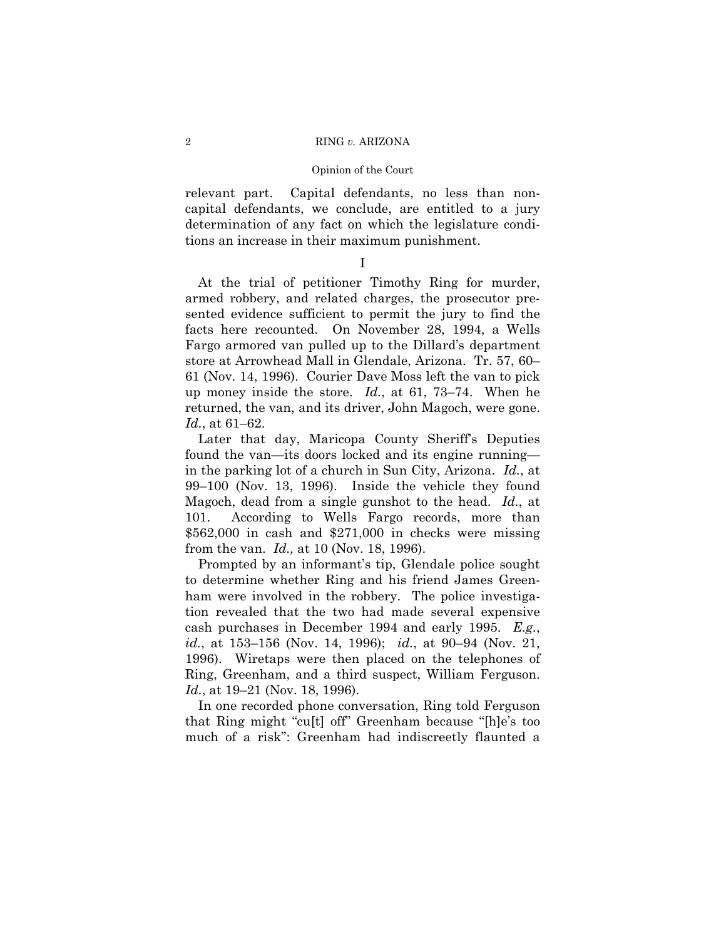relevant part. Capital defendants, no less than noncapital defendants, we conclude, are entitled to a jury determination of any fact on which the legislature conditions an increase in their maximum punishment.

I

At the trial of petitioner Timothy Ring for murder, armed robbery, and related charges, the prosecutor presented evidence sufficient to permit the jury to find the facts here recounted. On November 28, 1994, a Wells Fargo armored van pulled up to the Dillard's department store at Arrowhead Mall in Glendale, Arizona. Tr. 57, 60– 61 (Nov. 14, 1996). Courier Dave Moss left the van to pick up money inside the store. *Id.*, at 61, 73–74. When he returned, the van, and its driver, John Magoch, were gone. *Id.*, at 61–62.

Later that day, Maricopa County Sheriff's Deputies found the van—its doors locked and its engine running in the parking lot of a church in Sun City, Arizona. *Id.*, at  $99-100$  (Nov. 13, 1996). Inside the vehicle they found Magoch, dead from a single gunshot to the head. *Id.*, at 101. According to Wells Fargo records, more than \$562,000 in cash and \$271,000 in checks were missing from the van. *Id.,* at 10 (Nov. 18, 1996).

Prompted by an informant's tip, Glendale police sought to determine whether Ring and his friend James Greenham were involved in the robbery. The police investigation revealed that the two had made several expensive cash purchases in December 1994 and early 1995. *E.g.*, *id.*, at  $153-156$  (Nov. 14, 1996); *id.*, at 90–94 (Nov. 21, 1996). Wiretaps were then placed on the telephones of Ring, Greenham, and a third suspect, William Ferguson. *Id.*, at 19–21 (Nov. 18, 1996).

In one recorded phone conversation, Ring told Ferguson that Ring might "cu<sup>[t]</sup> off" Greenham because "[h]e's too much of a risk": Greenham had indiscreetly flaunted a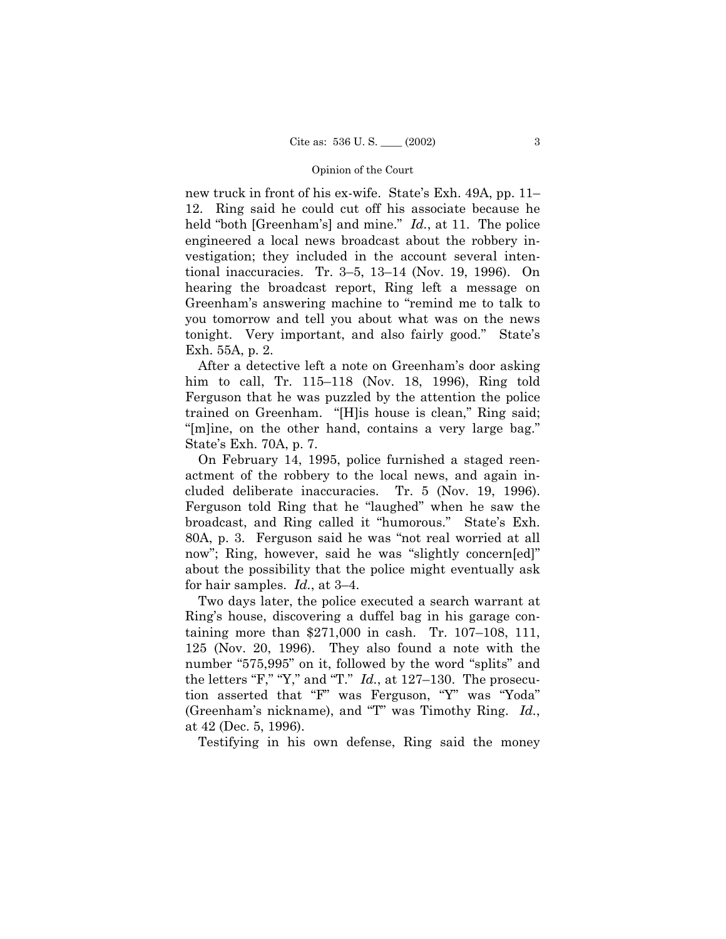new truck in front of his ex-wife. State's Exh. 49A, pp. 11– 12. Ring said he could cut off his associate because he held "both [Greenham's] and mine." *Id.*, at 11. The police engineered a local news broadcast about the robbery investigation; they included in the account several intentional inaccuracies. Tr. 3-5,  $13-14$  (Nov. 19, 1996). On hearing the broadcast report, Ring left a message on Greenham's answering machine to "remind me to talk to" you tomorrow and tell you about what was on the news tonight. Very important, and also fairly good." State's Exh. 55A, p. 2.

After a detective left a note on Greenhamís door asking him to call, Tr.  $115-118$  (Nov. 18, 1996), Ring told Ferguson that he was puzzled by the attention the police trained on Greenham. "[H]is house is clean," Ring said; "[m]ine, on the other hand, contains a very large bag." Stateís Exh. 70A, p. 7.

On February 14, 1995, police furnished a staged reenactment of the robbery to the local news, and again included deliberate inaccuracies. Tr. 5 (Nov. 19, 1996). Ferguson told Ring that he "laughed" when he saw the broadcast, and Ring called it "humorous." State's Exh. 80A, p. 3. Ferguson said he was "not real worried at all now"; Ring, however, said he was "slightly concern[ed]" about the possibility that the police might eventually ask for hair samples.  $Id.$ , at 3–4.

Two days later, the police executed a search warrant at Ringís house, discovering a duffel bag in his garage containing more than  $$271,000$  in cash. Tr. 107–108, 111, 125 (Nov. 20, 1996). They also found a note with the number "575,995" on it, followed by the word "splits" and the letters "F," "Y," and "T."  $Id.$ , at 127–130. The prosecution asserted that "F" was Ferguson, "Y" was "Yoda" (Greenham's nickname), and "T" was Timothy Ring. *Id.*, at 42 (Dec. 5, 1996).

Testifying in his own defense, Ring said the money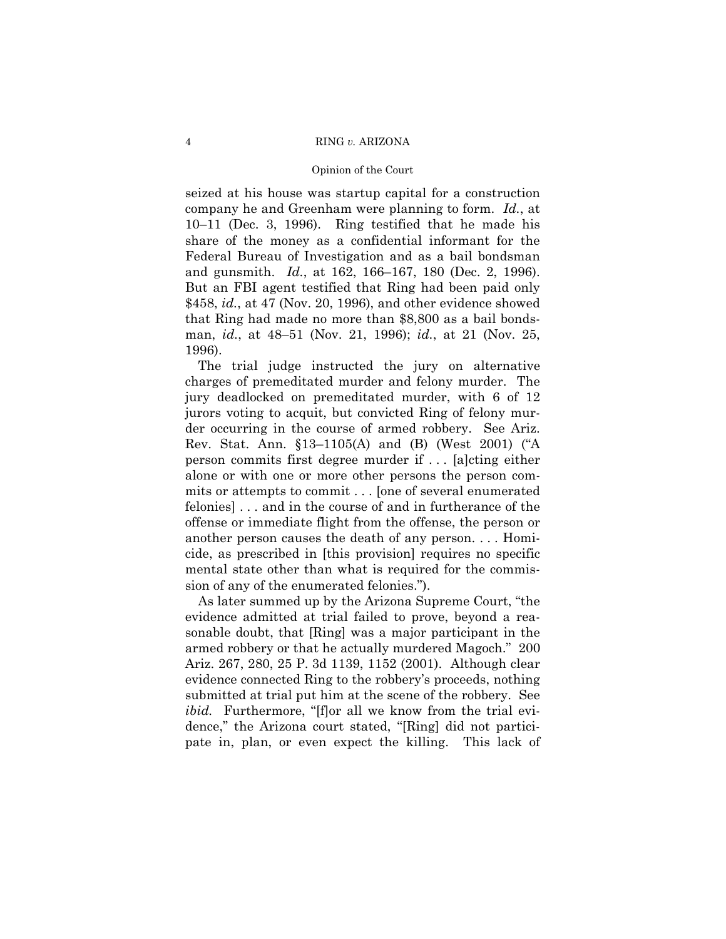seized at his house was startup capital for a construction company he and Greenham were planning to form. *Id.*, at  $10-11$  (Dec. 3, 1996). Ring testified that he made his share of the money as a confidential informant for the Federal Bureau of Investigation and as a bail bondsman and gunsmith. *Id.*, at 162, 166–167, 180 (Dec. 2, 1996). But an FBI agent testified that Ring had been paid only \$458, *id.*, at 47 (Nov. 20, 1996), and other evidence showed that Ring had made no more than \$8,800 as a bail bondsman, *id.*, at 48–51 (Nov. 21, 1996); *id.*, at 21 (Nov. 25, 1996).

The trial judge instructed the jury on alternative charges of premeditated murder and felony murder. The jury deadlocked on premeditated murder, with 6 of 12 jurors voting to acquit, but convicted Ring of felony murder occurring in the course of armed robbery. See Ariz. Rev. Stat. Ann.  $$13-1105(A)$  and (B) (West 2001) ("A person commits first degree murder if . . . [a]cting either alone or with one or more other persons the person commits or attempts to commit . . . [one of several enumerated felonies] . . . and in the course of and in furtherance of the offense or immediate flight from the offense, the person or another person causes the death of any person. . . . Homicide, as prescribed in [this provision] requires no specific mental state other than what is required for the commission of any of the enumerated felonies.").

As later summed up by the Arizona Supreme Court, "the evidence admitted at trial failed to prove, beyond a reasonable doubt, that [Ring] was a major participant in the armed robbery or that he actually murdered Magoch." 200 Ariz. 267, 280, 25 P. 3d 1139, 1152 (2001). Although clear evidence connected Ring to the robbery's proceeds, nothing submitted at trial put him at the scene of the robbery. See *ibid.* Furthermore, "[f]or all we know from the trial evidence," the Arizona court stated, "[Ring] did not participate in, plan, or even expect the killing. This lack of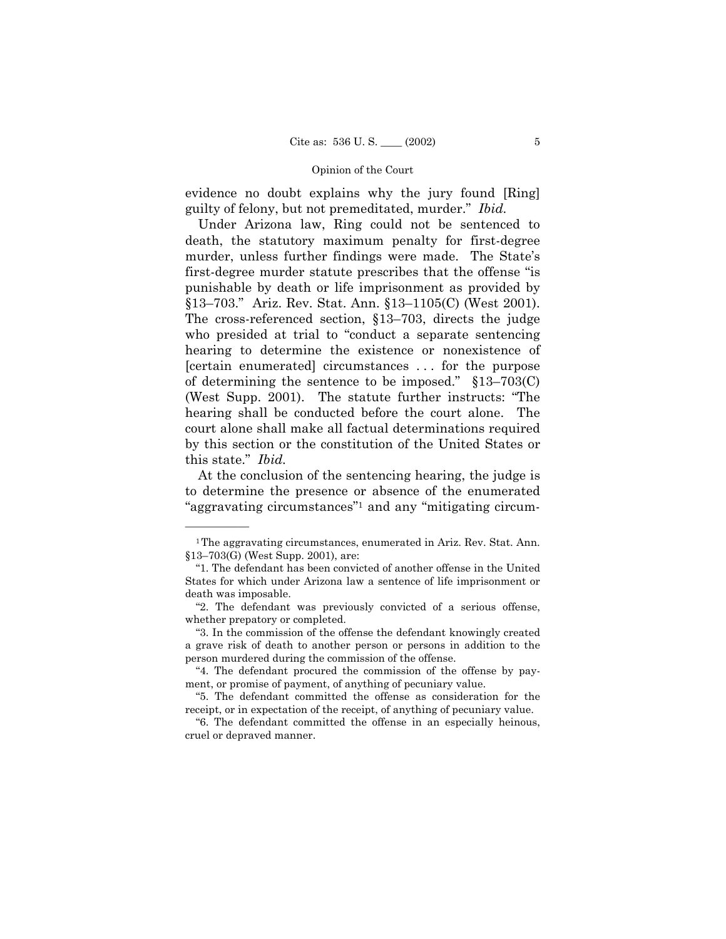evidence no doubt explains why the jury found [Ring] guilty of felony, but not premeditated, murder." Ibid.

 Under Arizona law, Ring could not be sentenced to death, the statutory maximum penalty for first-degree murder, unless further findings were made. The State's first-degree murder statute prescribes that the offense "is" punishable by death or life imprisonment as provided by §13–703." Ariz. Rev. Stat. Ann. §13–1105(C) (West 2001). The cross-referenced section,  $$13–703$ , directs the judge who presided at trial to "conduct a separate sentencing" hearing to determine the existence or nonexistence of [certain enumerated] circumstances . . . for the purpose of determining the sentence to be imposed."  $$13–703(C)$ (West Supp. 2001). The statute further instructs:  $\text{``The}$ hearing shall be conducted before the court alone. The court alone shall make all factual determinations required by this section or the constitution of the United States or this state.<sup>"</sup> *Ibid.* 

At the conclusion of the sentencing hearing, the judge is to determine the presence or absence of the enumerated "aggravating circumstances"<sup>1</sup> and any "mitigating circum-

<sup>1</sup>The aggravating circumstances, enumerated in Ariz. Rev. Stat. Ann.  $$13–703(G)$  (West Supp. 2001), are:

ì1. The defendant has been convicted of another offense in the United States for which under Arizona law a sentence of life imprisonment or death was imposable.

ì2. The defendant was previously convicted of a serious offense, whether prepatory or completed.

ì3. In the commission of the offense the defendant knowingly created a grave risk of death to another person or persons in addition to the person murdered during the commission of the offense.

<sup>&</sup>quot;4. The defendant procured the commission of the offense by payment, or promise of payment, of anything of pecuniary value.

ì5. The defendant committed the offense as consideration for the receipt, or in expectation of the receipt, of anything of pecuniary value.

ì6. The defendant committed the offense in an especially heinous, cruel or depraved manner.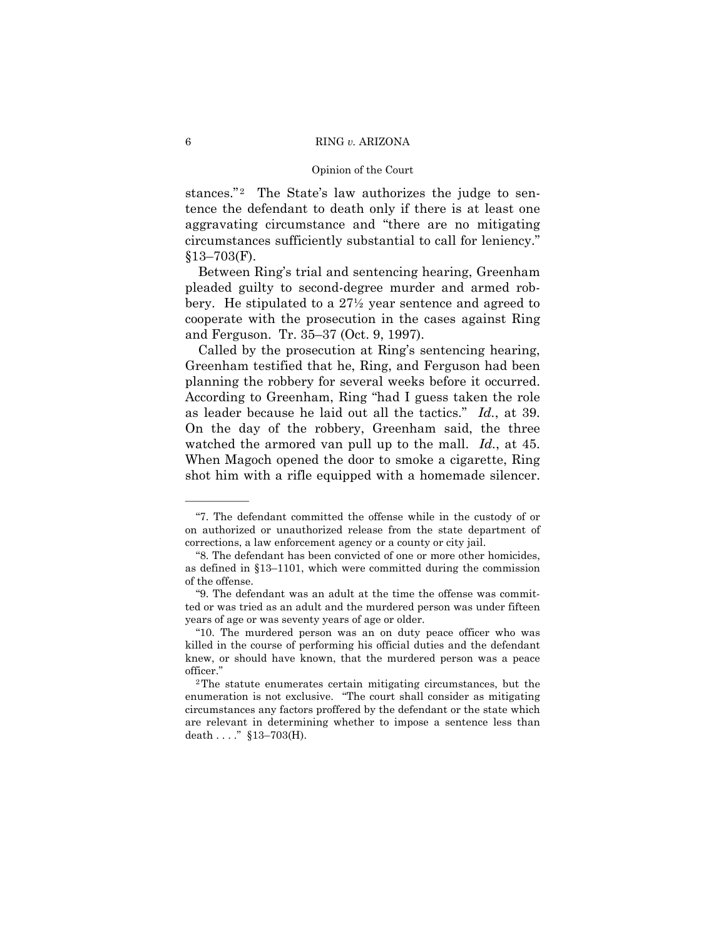stances.<sup>"2</sup> The State's law authorizes the judge to sentence the defendant to death only if there is at least one aggravating circumstance and "there are no mitigating circumstances sufficiently substantial to call for leniency."  $$13–703(F)$ .

Between Ring's trial and sentencing hearing, Greenham pleaded guilty to second-degree murder and armed robbery. He stipulated to a 27½ year sentence and agreed to cooperate with the prosecution in the cases against Ring and Ferguson. Tr.  $35-37$  (Oct. 9, 1997).

Called by the prosecution at Ring's sentencing hearing, Greenham testified that he, Ring, and Ferguson had been planning the robbery for several weeks before it occurred. According to Greenham, Ring "had I guess taken the role as leader because he laid out all the tactics.î *Id.*, at 39. On the day of the robbery, Greenham said, the three watched the armored van pull up to the mall. *Id.*, at 45. When Magoch opened the door to smoke a cigarette, Ring shot him with a rifle equipped with a homemade silencer.

ì7. The defendant committed the offense while in the custody of or on authorized or unauthorized release from the state department of corrections, a law enforcement agency or a county or city jail.

ì8. The defendant has been convicted of one or more other homicides, as defined in  $$13–1101$ , which were committed during the commission of the offense.

ì9. The defendant was an adult at the time the offense was committed or was tried as an adult and the murdered person was under fifteen years of age or was seventy years of age or older.

ì10. The murdered person was an on duty peace officer who was killed in the course of performing his official duties and the defendant knew, or should have known, that the murdered person was a peace officer."

<sup>2</sup>The statute enumerates certain mitigating circumstances, but the enumeration is not exclusive. "The court shall consider as mitigating circumstances any factors proffered by the defendant or the state which are relevant in determining whether to impose a sentence less than death . . . . "  $$13–703(H)$ .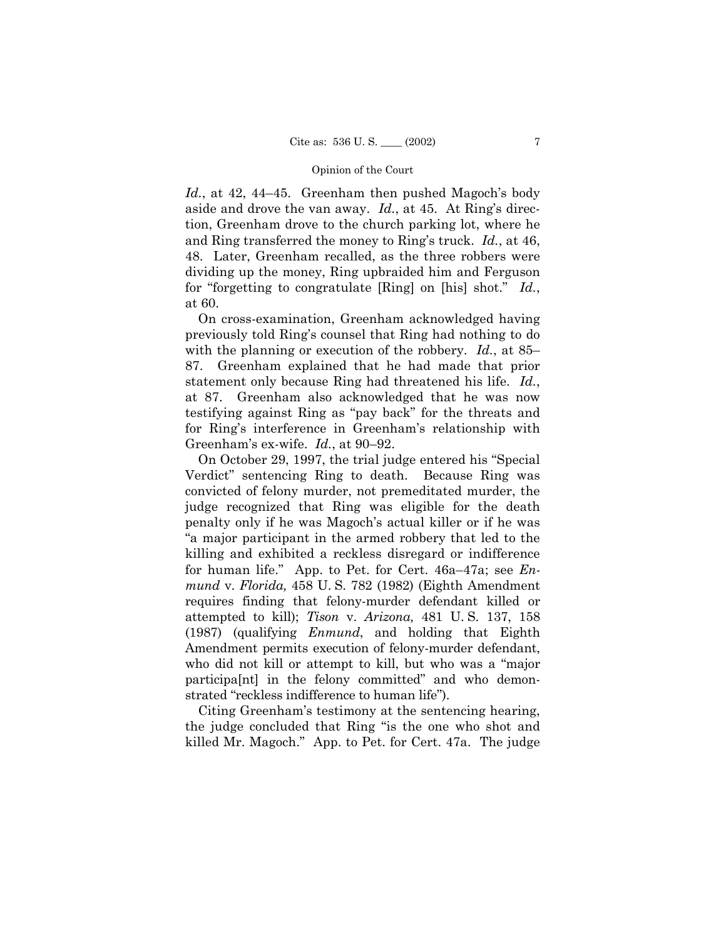*Id.*, at 42, 44–45. Greenham then pushed Magoch's body aside and drove the van away. *Id.*, at 45. At Ring's direction, Greenham drove to the church parking lot, where he and Ring transferred the money to Ring's truck. *Id.*, at 46, 48. Later, Greenham recalled, as the three robbers were dividing up the money, Ring upbraided him and Ferguson for "forgetting to congratulate [Ring] on [his] shot." *Id.*, at 60.

On cross-examination, Greenham acknowledged having previously told Ringís counsel that Ring had nothing to do with the planning or execution of the robbery.  $Id.$ , at 85– 87. Greenham explained that he had made that prior statement only because Ring had threatened his life. *Id.*, at 87. Greenham also acknowledged that he was now testifying against Ring as "pay back" for the threats and for Ringís interference in Greenhamís relationship with Greenham's ex-wife. *Id.*, at 90–92.

On October 29, 1997, the trial judge entered his "Special Verdict" sentencing Ring to death. Because Ring was convicted of felony murder, not premeditated murder, the judge recognized that Ring was eligible for the death penalty only if he was Magoch's actual killer or if he was ìa major participant in the armed robbery that led to the killing and exhibited a reckless disregard or indifference for human life." App. to Pet. for Cert. 46a–47a; see *Enmund* v. *Florida,* 458 U. S. 782 (1982) (Eighth Amendment requires finding that felony-murder defendant killed or attempted to kill); *Tison* v. *Arizona,* 481 U. S. 137, 158 (1987) (qualifying *Enmund*, and holding that Eighth Amendment permits execution of felony-murder defendant, who did not kill or attempt to kill, but who was a "major" participa[nt] in the felony committed" and who demonstrated "reckless indifference to human life").

Citing Greenhamís testimony at the sentencing hearing, the judge concluded that Ring "is the one who shot and killed Mr. Magoch." App. to Pet. for Cert. 47a. The judge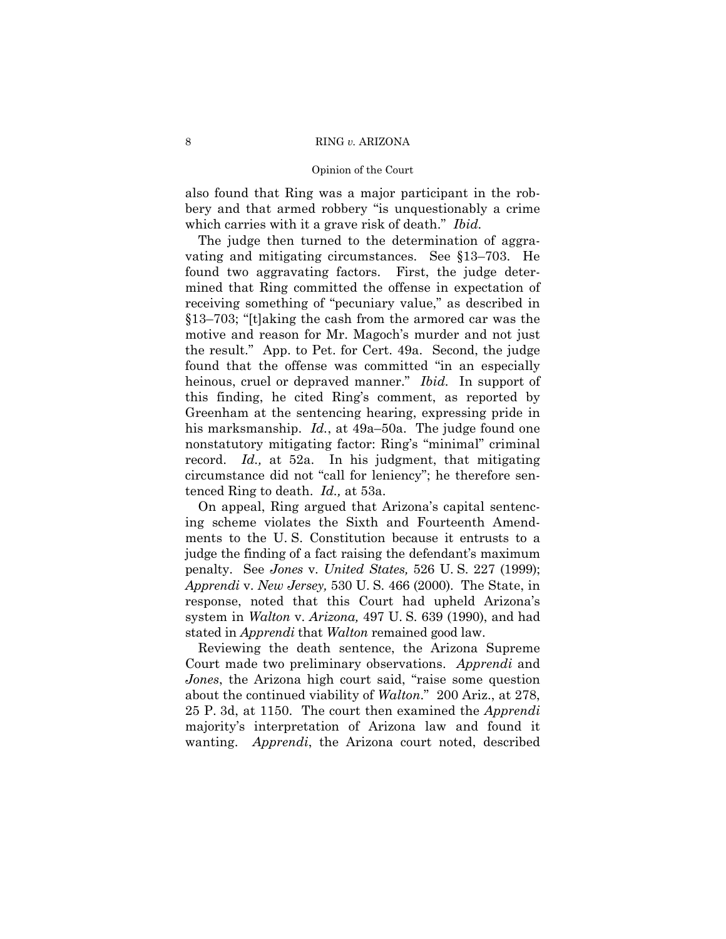also found that Ring was a major participant in the robbery and that armed robbery "is unquestionably a crime which carries with it a grave risk of death." *Ibid.* 

The judge then turned to the determination of aggravating and mitigating circumstances. See  $$13-703$ . He found two aggravating factors. First, the judge determined that Ring committed the offense in expectation of receiving something of "pecuniary value," as described in  $$13–703$ ; "[t]aking the cash from the armored car was the motive and reason for Mr. Magoch's murder and not just the result.î App. to Pet. for Cert. 49a. Second, the judge found that the offense was committed "in an especially heinous, cruel or depraved manner." *Ibid*. In support of this finding, he cited Ringís comment, as reported by Greenham at the sentencing hearing, expressing pride in his marksmanship. *Id.*, at 49a–50a. The judge found one nonstatutory mitigating factor: Ring's "minimal" criminal record. *Id.,* at 52a. In his judgment, that mitigating circumstance did not "call for leniency"; he therefore sentenced Ring to death. *Id.,* at 53a.

On appeal, Ring argued that Arizonaís capital sentencing scheme violates the Sixth and Fourteenth Amendments to the U. S. Constitution because it entrusts to a judge the finding of a fact raising the defendant's maximum penalty. See *Jones* v. *United States,* 526 U. S. 227 (1999); *Apprendi* v. *New Jersey,* 530 U. S. 466 (2000). The State, in response, noted that this Court had upheld Arizona's system in *Walton* v. *Arizona,* 497 U. S. 639 (1990), and had stated in *Apprendi* that *Walton* remained good law.

Reviewing the death sentence, the Arizona Supreme Court made two preliminary observations. *Apprendi* and *Jones*, the Arizona high court said, "raise some question" about the continued viability of *Walton*.î 200 Ariz., at 278, 25 P. 3d, at 1150. The court then examined the *Apprendi* majorityís interpretation of Arizona law and found it wanting. *Apprendi*, the Arizona court noted, described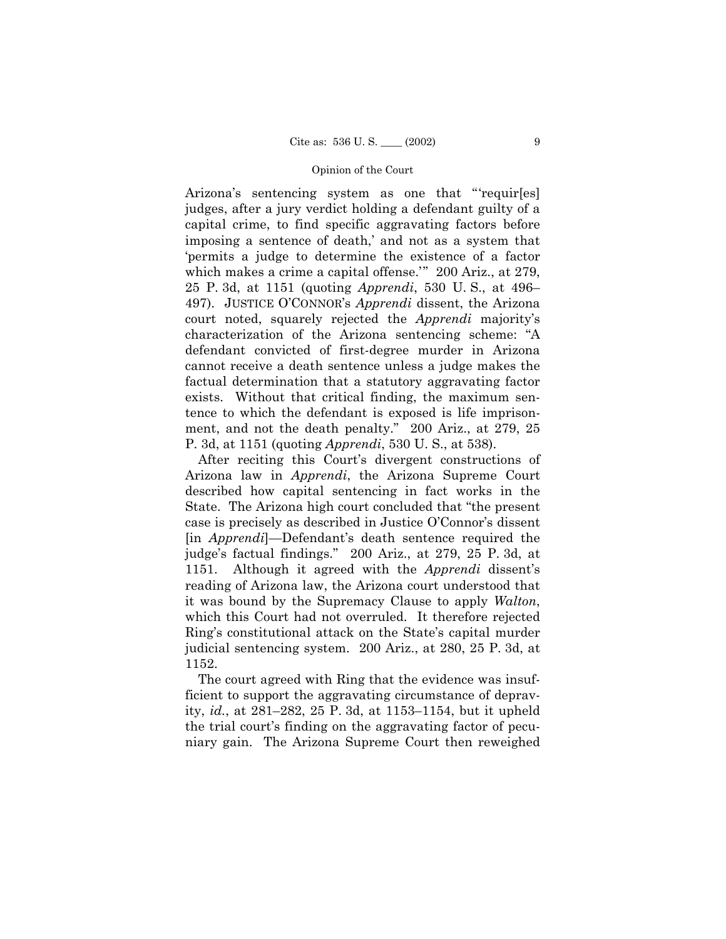Arizona's sentencing system as one that "requir[es] judges, after a jury verdict holding a defendant guilty of a capital crime, to find specific aggravating factors before imposing a sentence of death,' and not as a system that ëpermits a judge to determine the existence of a factor which makes a crime a capital offense.<sup> $\degree$ </sup> 200 Ariz., at 279, 25 P. 3d, at 1151 (quoting *Apprendi*, 530 U.S., at 496– 497). JUSTICE OíCONNORís *Apprendi* dissent, the Arizona court noted, squarely rejected the *Apprendi* majorityís characterization of the Arizona sentencing scheme: "A defendant convicted of first-degree murder in Arizona cannot receive a death sentence unless a judge makes the factual determination that a statutory aggravating factor exists. Without that critical finding, the maximum sentence to which the defendant is exposed is life imprisonment, and not the death penalty." 200 Ariz., at 279, 25 P. 3d, at 1151 (quoting *Apprendi*, 530 U. S., at 538).

After reciting this Court's divergent constructions of Arizona law in *Apprendi*, the Arizona Supreme Court described how capital sentencing in fact works in the State. The Arizona high court concluded that "the present" case is precisely as described in Justice O'Connor's dissent [in *Apprendi*]—Defendant's death sentence required the judge's factual findings." 200 Ariz., at 279, 25 P. 3d, at 1151. Although it agreed with the *Apprendi* dissentís reading of Arizona law, the Arizona court understood that it was bound by the Supremacy Clause to apply *Walton*, which this Court had not overruled. It therefore rejected Ring's constitutional attack on the State's capital murder judicial sentencing system. 200 Ariz., at 280, 25 P. 3d, at 1152.

The court agreed with Ring that the evidence was insufficient to support the aggravating circumstance of depravity, *id.*, at  $281-282$ ,  $25$  P. 3d, at  $1153-1154$ , but it upheld the trial court's finding on the aggravating factor of pecuniary gain. The Arizona Supreme Court then reweighed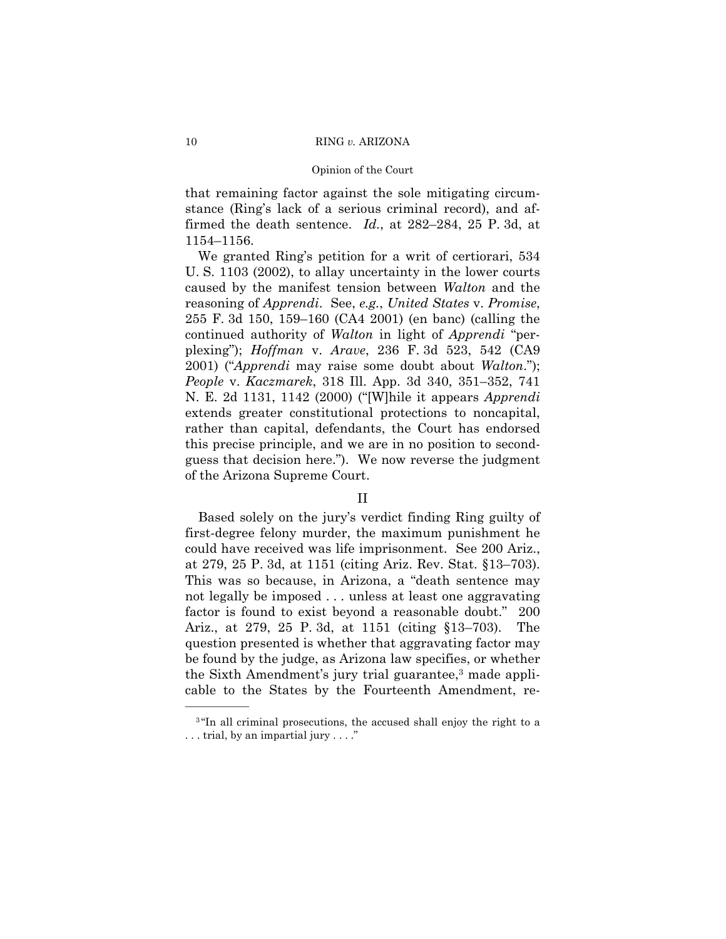that remaining factor against the sole mitigating circumstance (Ring's lack of a serious criminal record), and affirmed the death sentence. *Id.*, at  $282-284$ , 25 P. 3d, at 1154-1156.

We granted Ring's petition for a writ of certiorari, 534 U. S. 1103 (2002), to allay uncertainty in the lower courts caused by the manifest tension between *Walton* and the reasoning of *Apprendi*. See, *e.g.*, *United States* v. *Promise*, 255 F. 3d 150, 159–160 (CA4 2001) (en banc) (calling the continued authority of *Walton* in light of *Apprendi* "perplexingî); *Hoffman* v. *Arave*, 236 F. 3d 523, 542 (CA9 2001) ("*Apprendi* may raise some doubt about *Walton*."); *People v. Kaczmarek, 318 Ill. App. 3d 340, 351–352, 741* N. E. 2d 1131, 1142 (2000) ("[W]hile it appears *Apprendi* extends greater constitutional protections to noncapital, rather than capital, defendants, the Court has endorsed this precise principle, and we are in no position to secondguess that decision here.<sup>n</sup>). We now reverse the judgment of the Arizona Supreme Court.

# II

Based solely on the juryís verdict finding Ring guilty of first-degree felony murder, the maximum punishment he could have received was life imprisonment. See 200 Ariz., at 279, 25 P. 3d, at  $1151$  (citing Ariz. Rev. Stat.  $$13–703$ ). This was so because, in Arizona, a "death sentence may not legally be imposed . . . unless at least one aggravating factor is found to exist beyond a reasonable doubt." 200 Ariz., at 279, 25 P. 3d, at 1151 (citing  $$13–703$ ). The question presented is whether that aggravating factor may be found by the judge, as Arizona law specifies, or whether the Sixth Amendment's jury trial guarantee,<sup>3</sup> made applicable to the States by the Fourteenth Amendment, re-

 $3$ "In all criminal prosecutions, the accused shall enjoy the right to a  $\dots$  trial, by an impartial jury  $\dots$ ."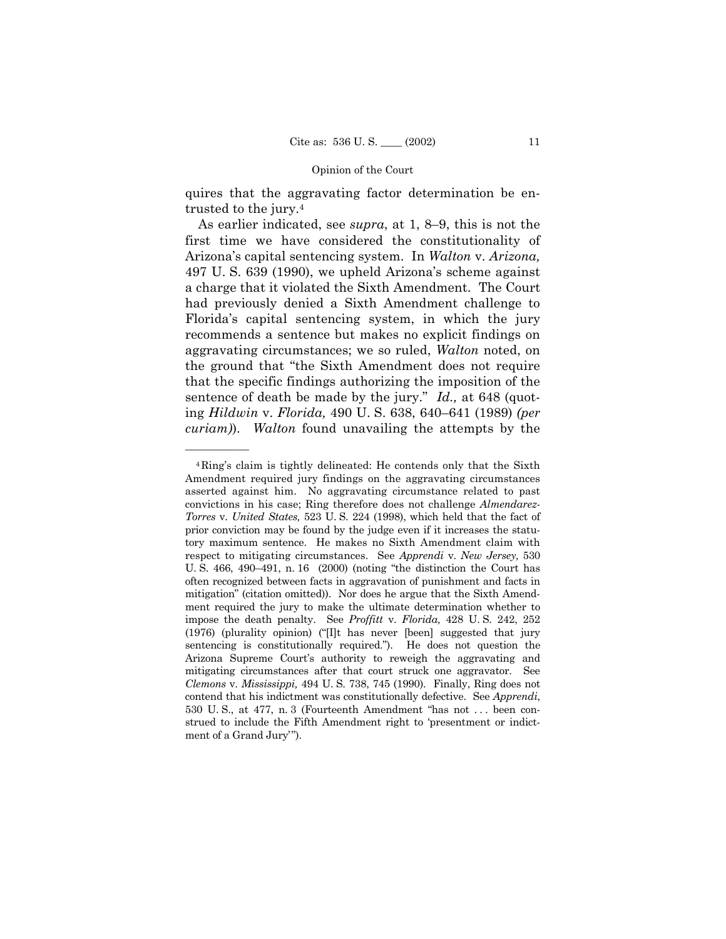quires that the aggravating factor determination be entrusted to the jury.4

As earlier indicated, see *supra*, at 1, 8–9, this is not the first time we have considered the constitutionality of Arizonaís capital sentencing system. In *Walton* v. *Arizona,* 497 U. S. 639 (1990), we upheld Arizonaís scheme against a charge that it violated the Sixth Amendment. The Court had previously denied a Sixth Amendment challenge to Floridaís capital sentencing system, in which the jury recommends a sentence but makes no explicit findings on aggravating circumstances; we so ruled, *Walton* noted, on the ground that "the Sixth Amendment does not require that the specific findings authorizing the imposition of the sentence of death be made by the jury." *Id.*, at 648 (quoting *Hildwin* v. *Florida*, 490 U. S. 638, 640–641 (1989) *(per curiam)*). *Walton* found unavailing the attempts by the

<sup>4</sup>Ringís claim is tightly delineated: He contends only that the Sixth Amendment required jury findings on the aggravating circumstances asserted against him. No aggravating circumstance related to past convictions in his case; Ring therefore does not challenge *Almendarez-Torres* v. *United States,* 523 U. S. 224 (1998), which held that the fact of prior conviction may be found by the judge even if it increases the statutory maximum sentence. He makes no Sixth Amendment claim with respect to mitigating circumstances. See *Apprendi* v. *New Jersey,* 530 U. S.  $466$ ,  $490-491$ , n. 16  $(2000)$  (noting "the distinction the Court has often recognized between facts in aggravation of punishment and facts in mitigationî (citation omitted)). Nor does he argue that the Sixth Amendment required the jury to make the ultimate determination whether to impose the death penalty. See *Proffitt* v. *Florida,* 428 U. S. 242, 252  $(1976)$  (plurality opinion) ("[I]t has never [been] suggested that jury sentencing is constitutionally required."). He does not question the Arizona Supreme Court's authority to reweigh the aggravating and mitigating circumstances after that court struck one aggravator. See *Clemons* v. *Mississippi,* 494 U. S. 738, 745 (1990). Finally, Ring does not contend that his indictment was constitutionally defective. See *Apprendi*, 530 U.S., at 477, n. 3 (Fourteenth Amendment "has not ... been construed to include the Fifth Amendment right to ëpresentment or indictment of a Grand Jury'").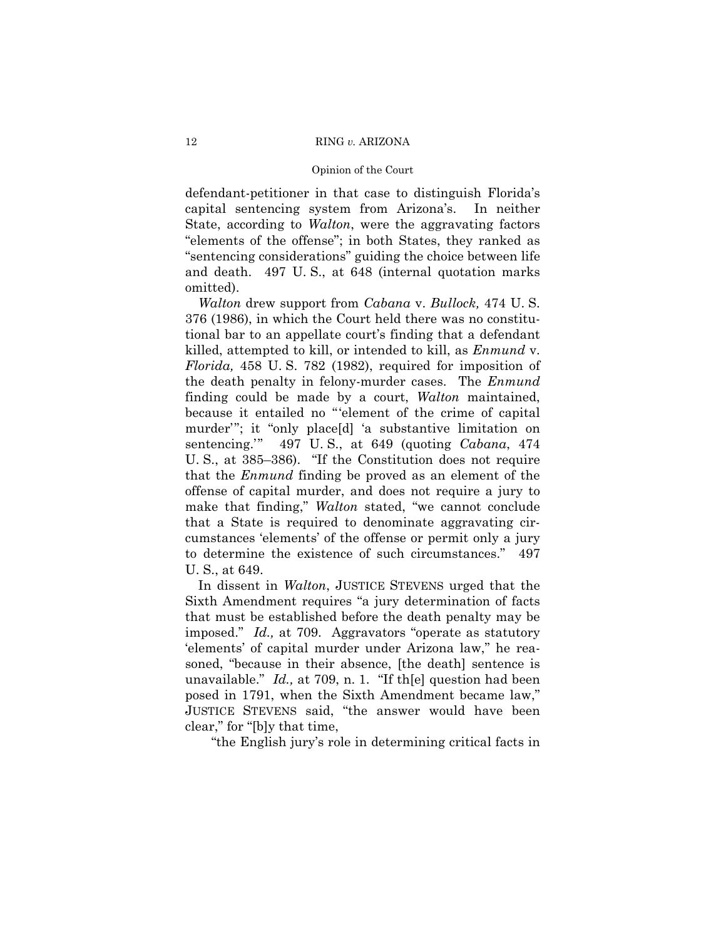defendant-petitioner in that case to distinguish Florida's capital sentencing system from Arizona's. In neither State, according to Walton, were the aggravating factors "elements of the offense"; in both States, they ranked as "sentencing considerations" guiding the choice between life and death. 497 U.S., at 648 (internal quotation marks omitted).

*Walton* drew support from *Cabana* v. *Bullock*, 474 U.S. 376 (1986), in which the Court held there was no constitutional bar to an appellate court's finding that a defendant killed, attempted to kill, or intended to kill, as *Enmund v*. Florida, 458 U.S. 782 (1982), required for imposition of the death penalty in felony-murder cases. The *Enmund* finding could be made by a court, *Walton* maintained, because it entailed no "'element of the crime of capital murder"; it "only place[d] 'a substantive limitation on sentencing." 497 U.S., at 649 (quoting *Cabana*, 474 U.S., at 385–386). "If the Constitution does not require that the *Enmund* finding be proved as an element of the offense of capital murder, and does not require a jury to make that finding," Walton stated, "we cannot conclude that a State is required to denominate aggravating circumstances 'elements' of the offense or permit only a jury to determine the existence of such circumstances." 497 U. S., at 649.

In dissent in *Walton*, JUSTICE STEVENS urged that the Sixth Amendment requires "a jury determination of facts" that must be established before the death penalty may be imposed." Id., at 709. Aggravators "operate as statutory 'elements' of capital murder under Arizona law," he reasoned, "because in their absence, [the death] sentence is unavailable."  $Id.$ , at 709, n. 1. "If the question had been posed in 1791, when the Sixth Amendment became law," JUSTICE STEVENS said, "the answer would have been clear," for "[b]y that time,

"the English jury's role in determining critical facts in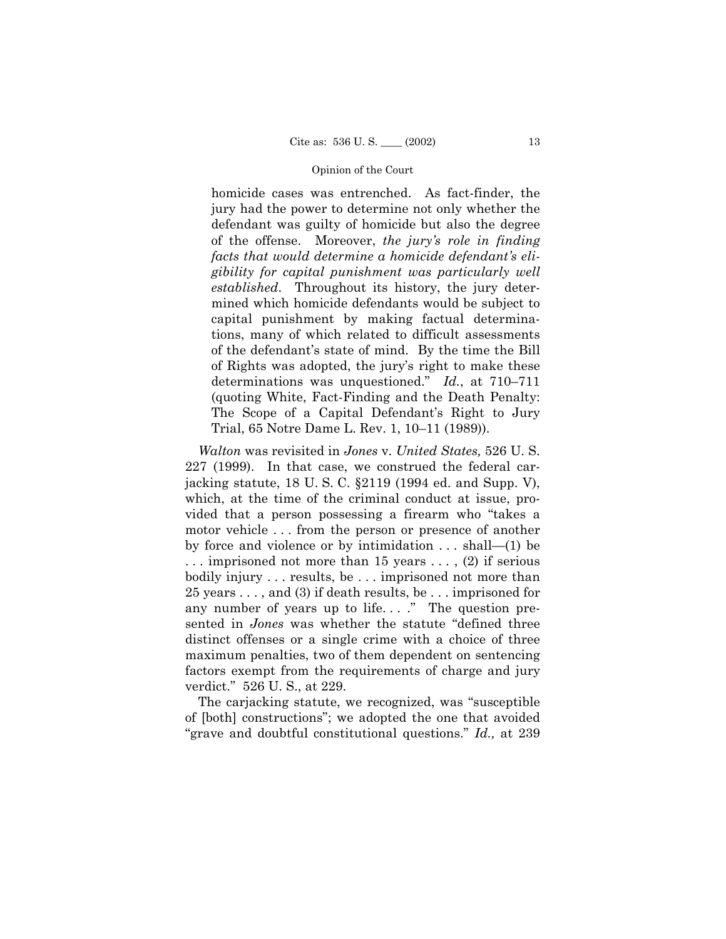homicide cases was entrenched. As fact-finder, the jury had the power to determine not only whether the defendant was guilty of homicide but also the degree of the offense. Moreover, *the juryís role in finding* facts that would determine a homicide defendant's eli*gibility for capital punishment was particularly well established*. Throughout its history, the jury determined which homicide defendants would be subject to capital punishment by making factual determinations, many of which related to difficult assessments of the defendantís state of mind. By the time the Bill of Rights was adopted, the juryís right to make these determinations was unquestioned.<sup>n</sup> Id., at 710–711 (quoting White, Fact-Finding and the Death Penalty: The Scope of a Capital Defendant's Right to Jury Trial, 65 Notre Dame L. Rev. 1, 10–11 (1989)).

*Walton* was revisited in *Jones* v. *United States,* 526 U. S. 227 (1999). In that case, we construed the federal carjacking statute, 18 U. S. C. ß2119 (1994 ed. and Supp. V), which, at the time of the criminal conduct at issue, provided that a person possessing a firearm who "takes a motor vehicle . . . from the person or presence of another by force and violence or by intimidation  $\dots$  shall—(1) be . . . imprisoned not more than 15 years . . . , (2) if serious bodily injury . . . results, be . . . imprisoned not more than 25 years . . . , and (3) if death results, be . . . imprisoned for any number of years up to life...." The question presented in *Jones* was whether the statute "defined three distinct offenses or a single crime with a choice of three maximum penalties, two of them dependent on sentencing factors exempt from the requirements of charge and jury verdict." 526 U.S., at 229.

The carjacking statute, we recognized, was "susceptible of [both] constructionsî; we adopted the one that avoided ìgrave and doubtful constitutional questions.î *Id.,* at 239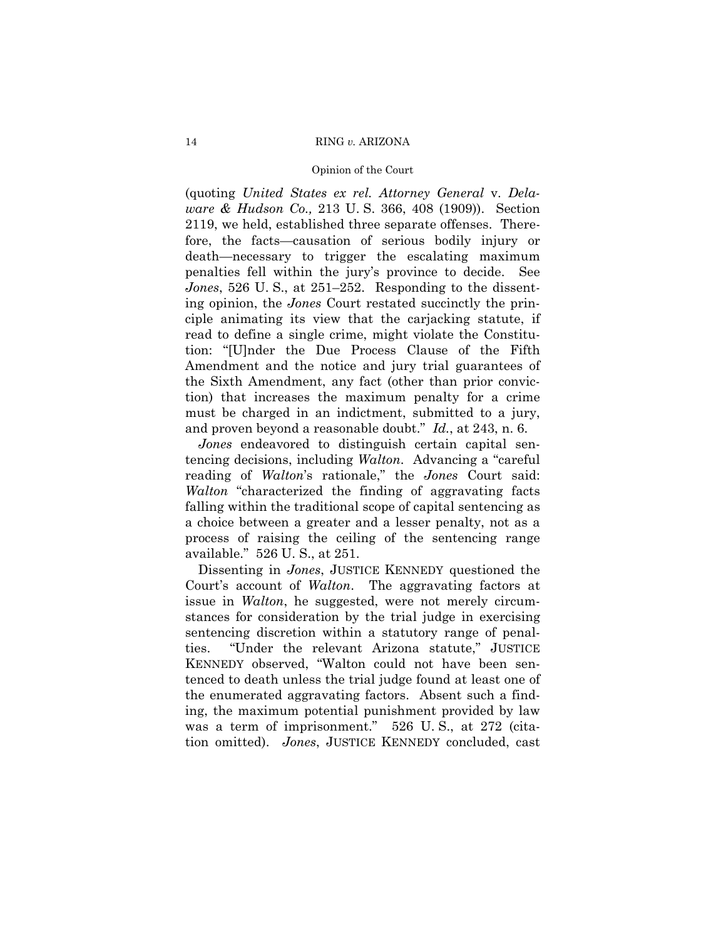## RING v. ARIZONA

# Opinion of the Court

(quoting United States ex rel. Attorney General v. Delaware & Hudson Co., 213 U.S. 366, 408 (1909)). Section 2119, we held, established three separate offenses. Therefore, the facts—causation of serious bodily injury or death—necessary to trigger the escalating maximum penalties fell within the jury's province to decide. See *Jones*, 526 U.S., at 251–252. Responding to the dissenting opinion, the *Jones* Court restated succinctly the principle animating its view that the carjacking statute, if read to define a single crime, might violate the Constitution: "[U]nder the Due Process Clause of the Fifth Amendment and the notice and jury trial guarantees of the Sixth Amendment, any fact (other than prior conviction) that increases the maximum penalty for a crime must be charged in an indictment, submitted to a jury, and proven beyond a reasonable doubt." Id., at 243, n. 6.

Jones endeavored to distinguish certain capital sentencing decisions, including *Walton*. Advancing a "careful" reading of Walton's rationale," the Jones Court said: Walton "characterized the finding of aggravating facts" falling within the traditional scope of capital sentencing as a choice between a greater and a lesser penalty, not as a process of raising the ceiling of the sentencing range available." 526 U.S., at 251.

Dissenting in *Jones*, JUSTICE KENNEDY questioned the Court's account of *Walton*. The aggravating factors at issue in *Walton*, he suggested, were not merely circumstances for consideration by the trial judge in exercising sentencing discretion within a statutory range of penalties. "Under the relevant Arizona statute," JUSTICE KENNEDY observed, "Walton could not have been sentenced to death unless the trial judge found at least one of the enumerated aggravating factors. Absent such a finding, the maximum potential punishment provided by law was a term of imprisonment." 526 U.S., at 272 (citation omitted). Jones, JUSTICE KENNEDY concluded, cast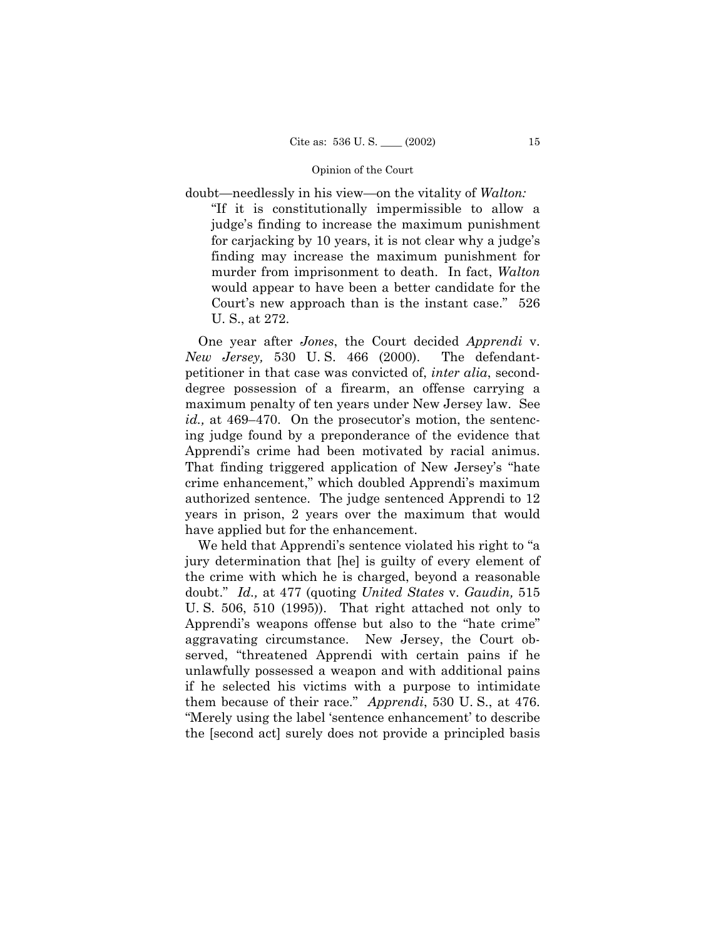doubt—needlessly in his view—on the vitality of *Walton*:

"If it is constitutionally impermissible to allow a judgeís finding to increase the maximum punishment for carjacking by 10 years, it is not clear why a judge's finding may increase the maximum punishment for murder from imprisonment to death. In fact, *Walton* would appear to have been a better candidate for the Court's new approach than is the instant case."  $526$ U. S., at 272.

One year after *Jones*, the Court decided *Apprendi* v. *New Jersey,* 530 U. S. 466 (2000). The defendantpetitioner in that case was convicted of, *inter alia*, seconddegree possession of a firearm, an offense carrying a maximum penalty of ten years under New Jersey law. See *id.*, at 469–470. On the prosecutor's motion, the sentencing judge found by a preponderance of the evidence that Apprendiís crime had been motivated by racial animus. That finding triggered application of New Jersey's "hate crime enhancement," which doubled Apprendi's maximum authorized sentence. The judge sentenced Apprendi to 12 years in prison, 2 years over the maximum that would have applied but for the enhancement.

We held that Apprendi's sentence violated his right to "a jury determination that [he] is guilty of every element of the crime with which he is charged, beyond a reasonable doubt.î *Id.,* at 477 (quoting *United States* v. *Gaudin,* 515 U. S. 506, 510 (1995)). That right attached not only to Apprendi's weapons offense but also to the "hate crime" aggravating circumstance. New Jersey, the Court observed, "threatened Apprendi with certain pains if he unlawfully possessed a weapon and with additional pains if he selected his victims with a purpose to intimidate them because of their race.î *Apprendi*, 530 U. S., at 476. "Merely using the label 'sentence enhancement' to describe the [second act] surely does not provide a principled basis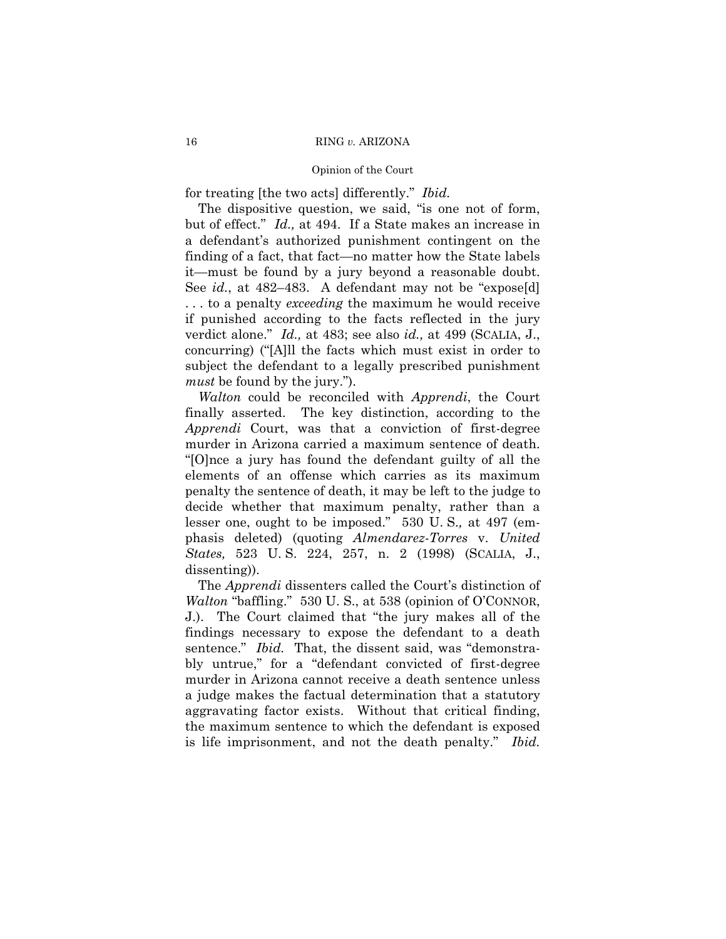for treating [the two acts] differently." Ibid.

The dispositive question, we said, "is one not of form, but of effect." Id., at 494. If a State makes an increase in a defendant's authorized punishment contingent on the finding of a fact, that fact—no matter how the State labels it—must be found by a jury beyond a reasonable doubt. See id., at 482–483. A defendant may not be "expose[d] ... to a penalty *exceeding* the maximum he would receive if punished according to the facts reflected in the jury verdict alone." Id., at 483; see also id., at 499 (SCALIA, J., concurring) ("[A]ll the facts which must exist in order to subject the defendant to a legally prescribed punishment *must* be found by the jury.").

Walton could be reconciled with Apprendi, the Court finally asserted. The key distinction, according to the *Apprendi* Court, was that a conviction of first-degree murder in Arizona carried a maximum sentence of death. "[O]nce a jury has found the defendant guilty of all the elements of an offense which carries as its maximum penalty the sentence of death, it may be left to the judge to decide whether that maximum penalty, rather than a lesser one, ought to be imposed." 530 U.S., at 497 (emphasis deleted) (quoting *Almendarez-Torres v. United* States, 523 U.S. 224, 257, n. 2 (1998) (SCALIA, J., dissenting).

The *Apprendi* dissenters called the Court's distinction of *Walton* "baffling." 530 U.S., at 538 (opinion of O'CONNOR, J.). The Court claimed that "the jury makes all of the findings necessary to expose the defendant to a death sentence." *Ibid.* That, the dissent said, was "demonstrably untrue," for a "defendant convicted of first-degree murder in Arizona cannot receive a death sentence unless a judge makes the factual determination that a statutory aggravating factor exists. Without that critical finding, the maximum sentence to which the defendant is exposed is life imprisonment, and not the death penalty." Ibid.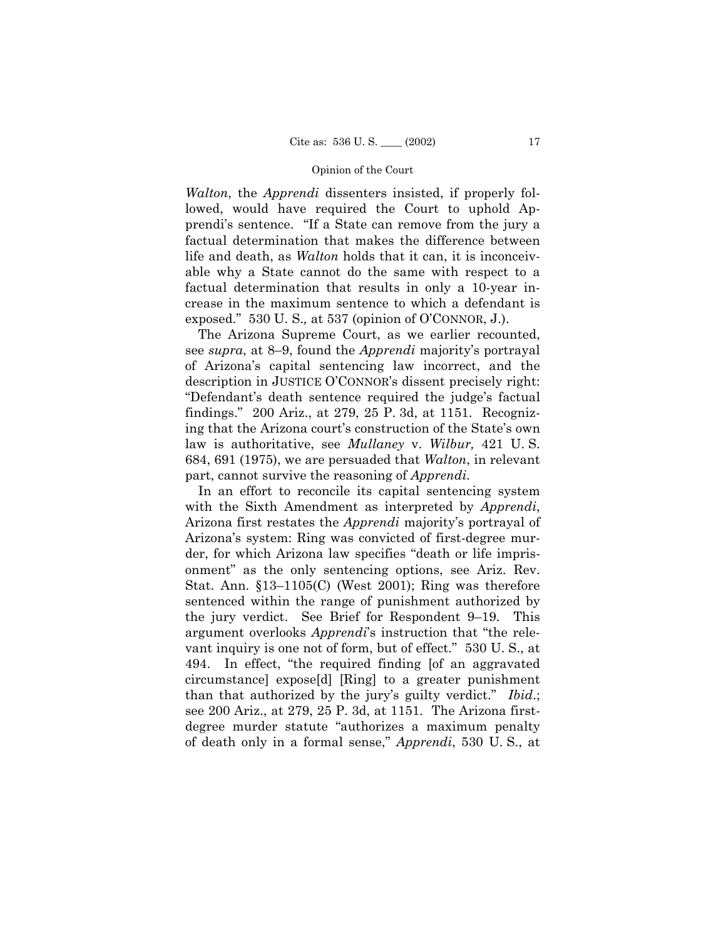*Walton*, the *Apprendi* dissenters insisted, if properly followed, would have required the Court to uphold Apprendi's sentence. "If a State can remove from the jury a factual determination that makes the difference between life and death, as *Walton* holds that it can, it is inconceivable why a State cannot do the same with respect to a factual determination that results in only a 10-year increase in the maximum sentence to which a defendant is exposed." 530 U. S., at 537 (opinion of O'CONNOR, J.).

The Arizona Supreme Court, as we earlier recounted, see *supra*, at 8–9, found the *Apprendi* majority's portrayal of Arizonaís capital sentencing law incorrect, and the description in JUSTICE O'CONNOR's dissent precisely right: ìDefendantís death sentence required the judgeís factual findings.î 200 Ariz., at 279, 25 P. 3d, at 1151. Recognizing that the Arizona court's construction of the State's own law is authoritative, see *Mullaney* v. *Wilbur,* 421 U. S. 684, 691 (1975), we are persuaded that *Walton*, in relevant part, cannot survive the reasoning of *Apprendi*.

In an effort to reconcile its capital sentencing system with the Sixth Amendment as interpreted by *Apprendi*, Arizona first restates the *Apprendi* majorityís portrayal of Arizonaís system: Ring was convicted of first-degree murder, for which Arizona law specifies "death or life imprisonment" as the only sentencing options, see Ariz. Rev. Stat. Ann.  $$13-1105(C)$  (West 2001); Ring was therefore sentenced within the range of punishment authorized by the jury verdict. See Brief for Respondent 9–19. This argument overlooks *Apprendi*'s instruction that "the relevant inquiry is one not of form, but of effect." 530 U.S., at 494. In effect, "the required finding [of an aggravated circumstance] expose[d] [Ring] to a greater punishment than that authorized by the jury's guilty verdict." *Ibid.*; see 200 Ariz., at 279, 25 P. 3d, at 1151. The Arizona firstdegree murder statute "authorizes a maximum penalty of death only in a formal sense,î *Apprendi*, 530 U. S., at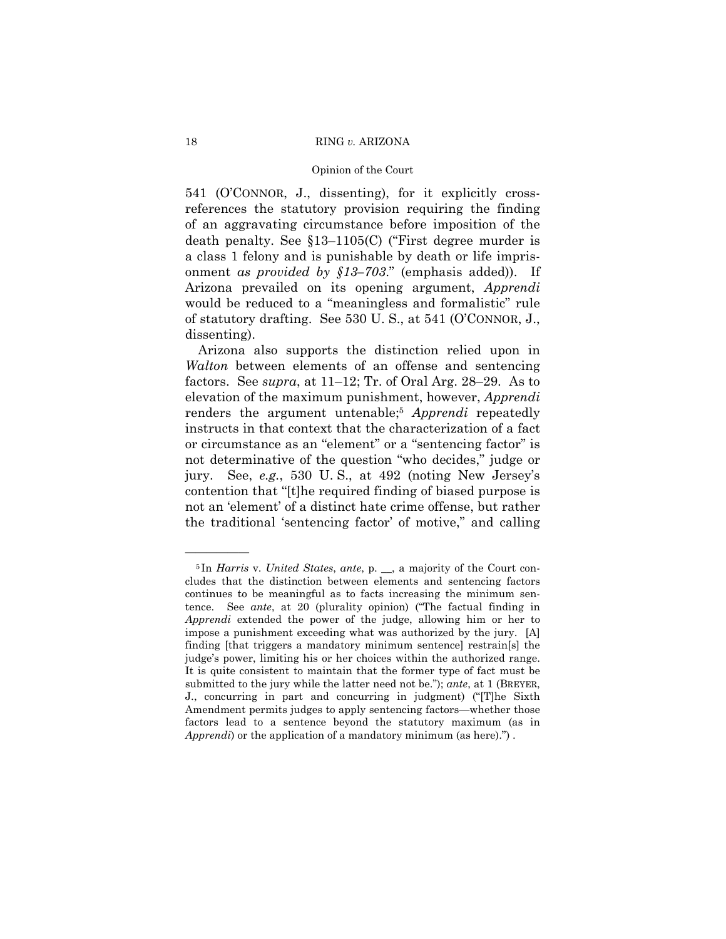541 (O'CONNOR, J., dissenting), for it explicitly crossreferences the statutory provision requiring the finding of an aggravating circumstance before imposition of the death penalty. See  $$13-1105(C)$  ("First degree murder is a class 1 felony and is punishable by death or life imprisonment *as provided by*  $$13–703$ *.*<sup>n</sup> (emphasis added)). If Arizona prevailed on its opening argument, *Apprendi* would be reduced to a "meaningless and formalistic" rule of statutory drafting. See 530 U.S., at 541 (O'CONNOR, J., dissenting).

Arizona also supports the distinction relied upon in *Walton* between elements of an offense and sentencing factors. See *supra*, at  $11-12$ ; Tr. of Oral Arg. 28–29. As to elevation of the maximum punishment, however, *Apprendi* renders the argument untenable;5 *Apprendi* repeatedly instructs in that context that the characterization of a fact or circumstance as an "element" or a "sentencing factor" is not determinative of the question "who decides," judge or jury. See, *e.g.*, 530 U.S., at 492 (noting New Jersey's contention that "[t]he required finding of biased purpose is not an 'element' of a distinct hate crime offense, but rather the traditional 'sentencing factor' of motive," and calling

<sup>5</sup> In *Harris* v. *United States*, *ante*, p. \_\_, a majority of the Court concludes that the distinction between elements and sentencing factors continues to be meaningful as to facts increasing the minimum sentence. See *ante*, at 20 (plurality opinion) ("The factual finding in *Apprendi* extended the power of the judge, allowing him or her to impose a punishment exceeding what was authorized by the jury. [A] finding [that triggers a mandatory minimum sentence] restrain[s] the judge's power, limiting his or her choices within the authorized range. It is quite consistent to maintain that the former type of fact must be submitted to the jury while the latter need not be."); *ante*, at 1 (BREYER, J., concurring in part and concurring in judgment) ("[T]he Sixth Amendment permits judges to apply sentencing factors—whether those factors lead to a sentence beyond the statutory maximum (as in *Apprendi*) or the application of a mandatory minimum (as here).<sup>n</sup>).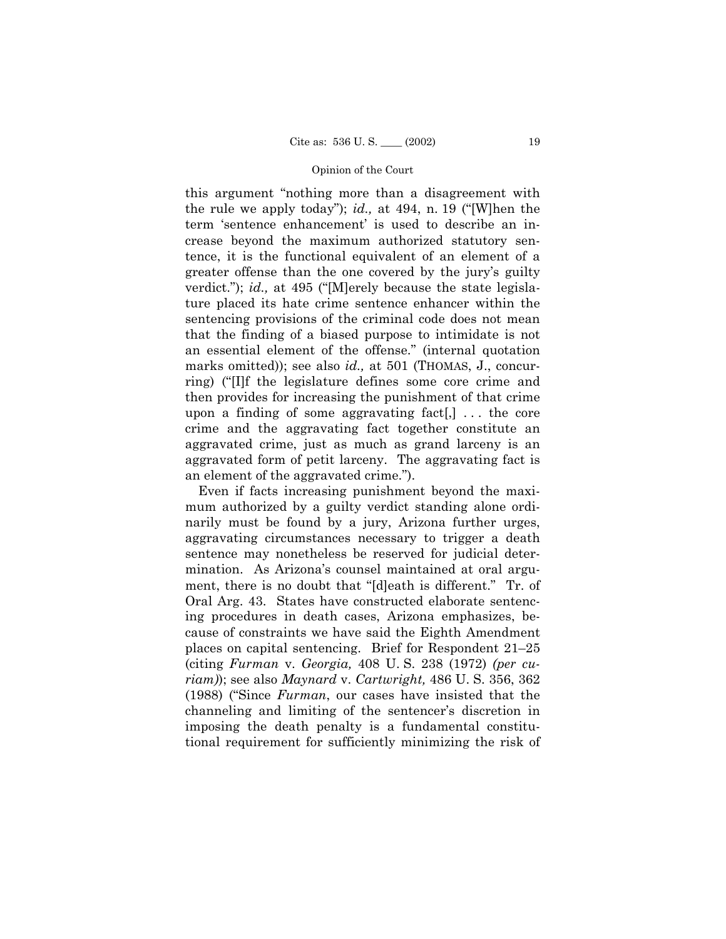this argument "nothing more than a disagreement with the rule we apply today"); *id.*, at 494, n. 19 ("[W]hen the term 'sentence enhancement' is used to describe an increase beyond the maximum authorized statutory sentence, it is the functional equivalent of an element of a greater offense than the one covered by the jury's guilty verdict."); *id.*, at 495 ("Merely because the state legislature placed its hate crime sentence enhancer within the sentencing provisions of the criminal code does not mean that the finding of a biased purpose to intimidate is not an essential element of the offense." (internal quotation marks omitted)); see also *id.*, at 501 (THOMAS, J., concurring) ("I]f the legislature defines some core crime and then provides for increasing the punishment of that crime upon a finding of some aggravating fact $[$ ,  $]$ ... the core crime and the aggravating fact together constitute an aggravated crime, just as much as grand larceny is an aggravated form of petit larceny. The aggravating fact is an element of the aggravated crime.").

Even if facts increasing punishment beyond the maximum authorized by a guilty verdict standing alone ordinarily must be found by a jury, Arizona further urges, aggravating circumstances necessary to trigger a death sentence may nonetheless be reserved for judicial determination. As Arizonaís counsel maintained at oral argument, there is no doubt that "[d]eath is different." Tr. of Oral Arg. 43. States have constructed elaborate sentencing procedures in death cases, Arizona emphasizes, because of constraints we have said the Eighth Amendment places on capital sentencing. Brief for Respondent  $21-25$ (citing *Furman* v. *Georgia,* 408 U. S. 238 (1972) *(per curiam)*); see also *Maynard* v. *Cartwright,* 486 U. S. 356, 362 (1988) ("Since *Furman*, our cases have insisted that the channeling and limiting of the sentencer's discretion in imposing the death penalty is a fundamental constitutional requirement for sufficiently minimizing the risk of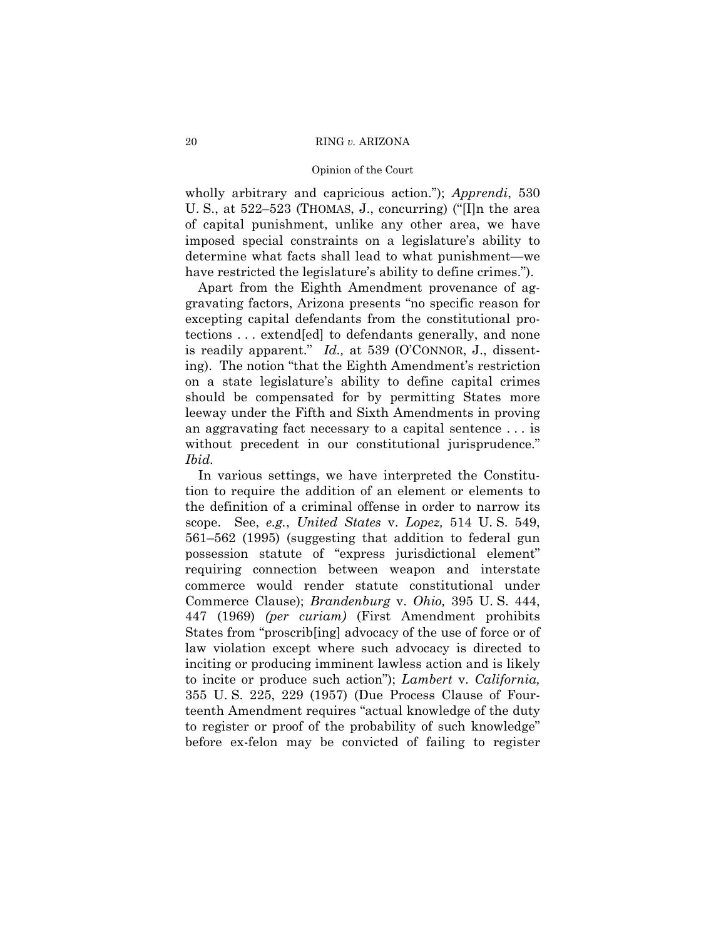wholly arbitrary and capricious action."); Apprendi, 530 U.S., at 522–523 (THOMAS, J., concurring) ("I]n the area of capital punishment, unlike any other area, we have imposed special constraints on a legislature's ability to determine what facts shall lead to what punishment—we have restricted the legislature's ability to define crimes.").

Apart from the Eighth Amendment provenance of aggravating factors, Arizona presents "no specific reason for excepting capital defendants from the constitutional protections ... extend[ed] to defendants generally, and none is readily apparent." Id., at 539 (O'CONNOR, J., dissenting). The notion "that the Eighth Amendment's restriction" on a state legislature's ability to define capital crimes should be compensated for by permitting States more leeway under the Fifth and Sixth Amendments in proving an aggravating fact necessary to a capital sentence . . . is without precedent in our constitutional jurisprudence." Ibid.

In various settings, we have interpreted the Constitution to require the addition of an element or elements to the definition of a criminal offense in order to narrow its scope. See, e.g., United States v. Lopez, 514 U.S. 549, 561–562 (1995) (suggesting that addition to federal gun possession statute of "express jurisdictional element" requiring connection between weapon and interstate commerce would render statute constitutional under Commerce Clause); *Brandenburg v. Ohio*, 395 U.S. 444, 447 (1969) (per curiam) (First Amendment prohibits States from "proscrib[ing] advocacy of the use of force or of law violation except where such advocacy is directed to inciting or producing imminent lawless action and is likely to incite or produce such action"); Lambert v. California, 355 U.S. 225, 229 (1957) (Due Process Clause of Fourteenth Amendment requires "actual knowledge of the duty to register or proof of the probability of such knowledge" before ex-felon may be convicted of failing to register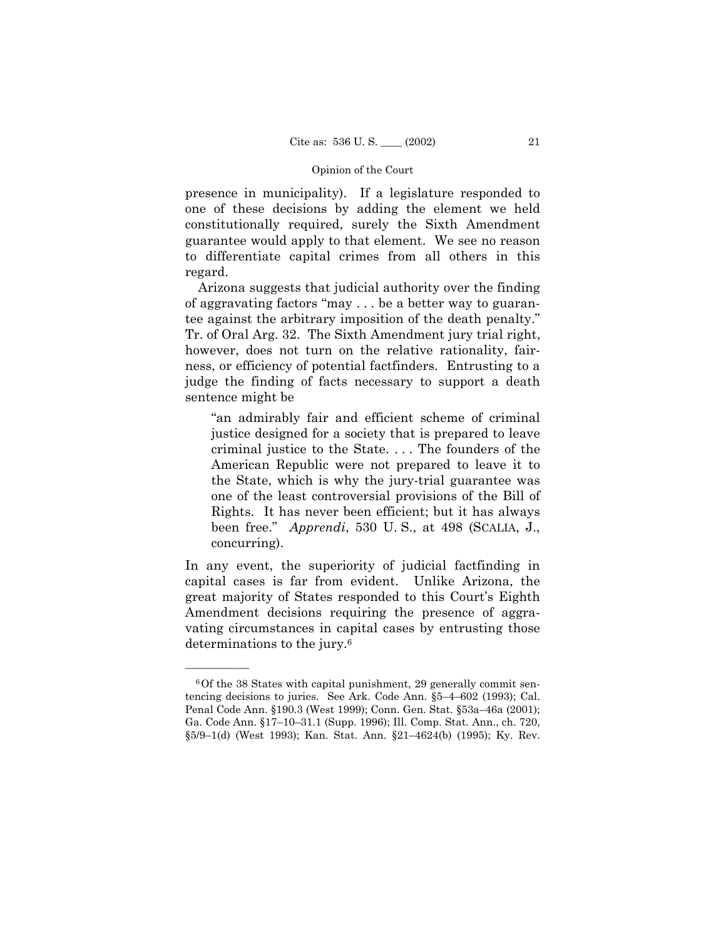presence in municipality). If a legislature responded to one of these decisions by adding the element we held constitutionally required, surely the Sixth Amendment guarantee would apply to that element. We see no reason to differentiate capital crimes from all others in this regard.

Arizona suggests that judicial authority over the finding of aggravating factors "may  $\dots$  be a better way to guarantee against the arbitrary imposition of the death penalty. Tr. of Oral Arg. 32. The Sixth Amendment jury trial right, however, does not turn on the relative rationality, fairness, or efficiency of potential factfinders. Entrusting to a judge the finding of facts necessary to support a death sentence might be

"an admirably fair and efficient scheme of criminal justice designed for a society that is prepared to leave criminal justice to the State. . . . The founders of the American Republic were not prepared to leave it to the State, which is why the jury-trial guarantee was one of the least controversial provisions of the Bill of Rights. It has never been efficient; but it has always been free.î *Apprendi*, 530 U. S., at 498 (SCALIA, J., concurring).

In any event, the superiority of judicial factfinding in capital cases is far from evident. Unlike Arizona, the great majority of States responded to this Court's Eighth Amendment decisions requiring the presence of aggravating circumstances in capital cases by entrusting those determinations to the jury.6

<sup>6</sup>Of the 38 States with capital punishment, 29 generally commit sentencing decisions to juries. See Ark. Code Ann.  $\S5-4-602$  (1993); Cal. Penal Code Ann. §190.3 (West 1999); Conn. Gen. Stat. §53a-46a (2001); Ga. Code Ann. §17-10-31.1 (Supp. 1996); Ill. Comp. Stat. Ann., ch. 720, §5/9-1(d) (West 1993); Kan. Stat. Ann. §21-4624(b) (1995); Ky. Rev.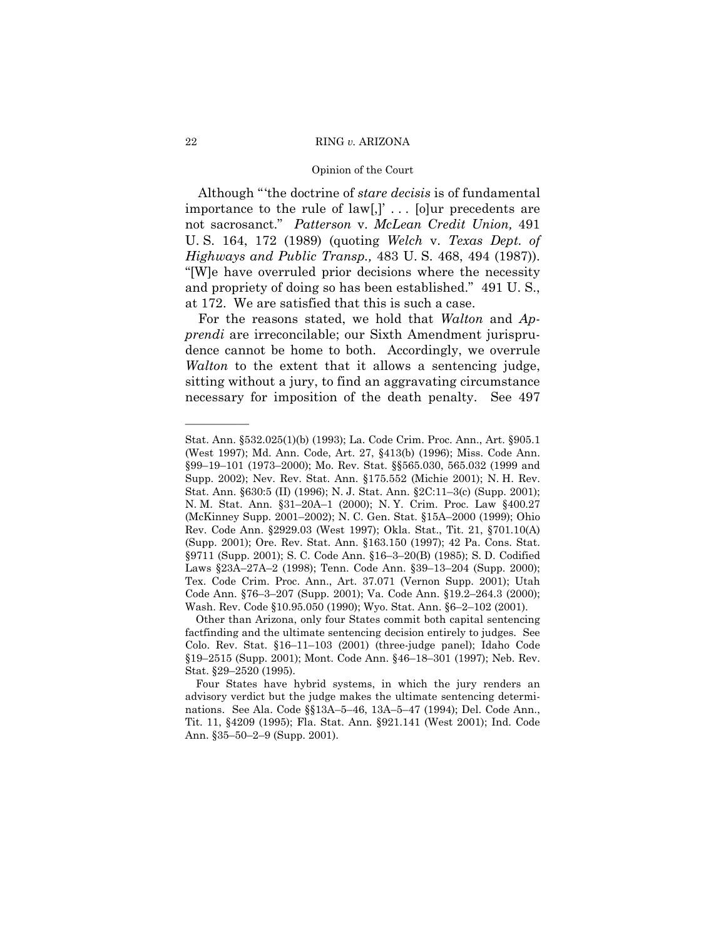### 22 RING *v.* ARIZONA

### Opinion of the Court

Although "the doctrine of *stare decisis* is of fundamental importance to the rule of  $law$ ,  $\lbrack$  ... [o]ur precedents are not sacrosanct.î *Patterson* v. *McLean Credit Union,* 491 U. S. 164, 172 (1989) (quoting *Welch* v. *Texas Dept. of Highways and Public Transp.,* 483 U. S. 468, 494 (1987)). ì[W]e have overruled prior decisions where the necessity and propriety of doing so has been established." 491 U.S., at 172. We are satisfied that this is such a case.

For the reasons stated, we hold that *Walton* and *Apprendi* are irreconcilable; our Sixth Amendment jurisprudence cannot be home to both. Accordingly, we overrule *Walton* to the extent that it allows a sentencing judge, sitting without a jury, to find an aggravating circumstance necessary for imposition of the death penalty. See 497

Stat. Ann. ß532.025(1)(b) (1993); La. Code Crim. Proc. Ann., Art. ß905.1 (West 1997); Md. Ann. Code, Art. 27, ß413(b) (1996); Miss. Code Ann. §99–19–101 (1973–2000); Mo. Rev. Stat. §§565.030, 565.032 (1999 and Supp. 2002); Nev. Rev. Stat. Ann. ß175.552 (Michie 2001); N. H. Rev. Stat. Ann. §630:5 (II) (1996); N. J. Stat. Ann. §2C:11–3(c) (Supp. 2001); N. M. Stat. Ann. §31-20A-1 (2000); N. Y. Crim. Proc. Law §400.27 (McKinney Supp. 2001–2002); N. C. Gen. Stat. §15A–2000 (1999); Ohio Rev. Code Ann. ß2929.03 (West 1997); Okla. Stat., Tit. 21, ß701.10(A) (Supp. 2001); Ore. Rev. Stat. Ann. ß163.150 (1997); 42 Pa. Cons. Stat. §9711 (Supp. 2001); S. C. Code Ann. §16-3-20(B) (1985); S. D. Codified Laws §23A-27A-2 (1998); Tenn. Code Ann. §39-13-204 (Supp. 2000); Tex. Code Crim. Proc. Ann., Art. 37.071 (Vernon Supp. 2001); Utah Code Ann. §76-3-207 (Supp. 2001); Va. Code Ann. §19.2-264.3 (2000); Wash. Rev. Code §10.95.050 (1990); Wyo. Stat. Ann. §6-2-102 (2001).

Other than Arizona, only four States commit both capital sentencing factfinding and the ultimate sentencing decision entirely to judges. See Colo. Rev. Stat. §16-11-103 (2001) (three-judge panel); Idaho Code §19–2515 (Supp. 2001); Mont. Code Ann. §46–18–301 (1997); Neb. Rev. Stat. §29-2520 (1995).

Four States have hybrid systems, in which the jury renders an advisory verdict but the judge makes the ultimate sentencing determinations. See Ala. Code §§13A-5-46, 13A-5-47 (1994); Del. Code Ann., Tit. 11, ß4209 (1995); Fla. Stat. Ann. ß921.141 (West 2001); Ind. Code Ann. §35-50-2-9 (Supp. 2001).